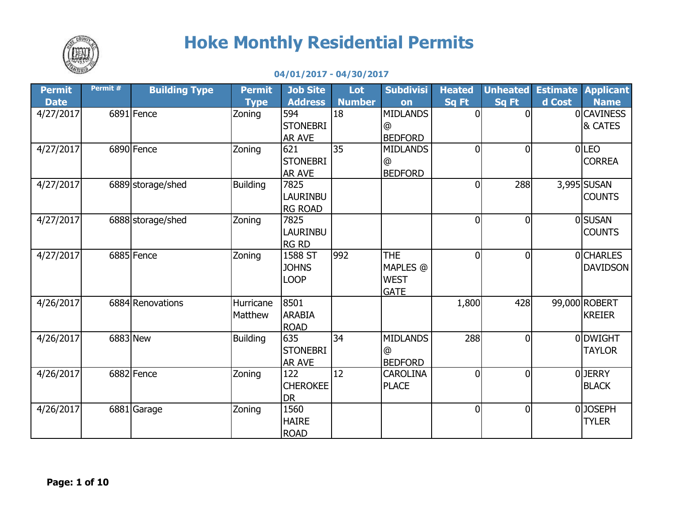

## **Hoke Monthly Residential Permits**

## **04/01/2017 - 04/30/2017**

| Permit      | Permit # | <b>Building Type</b> | <b>Permit</b>   | <b>Job Site</b> | Lot           | <b>Subdivisi</b> | <b>Heated</b>  | <b>Unheated</b> |        | <b>Estimate Applicant</b> |
|-------------|----------|----------------------|-----------------|-----------------|---------------|------------------|----------------|-----------------|--------|---------------------------|
| <b>Date</b> |          |                      | <b>Type</b>     | <b>Address</b>  | <b>Number</b> | on               | Sq Ft          | Sq Ft           | d Cost | <b>Name</b>               |
| 4/27/2017   |          | 6891 Fence           | Zoning          | 594             | 18            | <b>MIDLANDS</b>  | $\overline{0}$ | $\Omega$        |        | <b>OCAVINESS</b>          |
|             |          |                      |                 | <b>STONEBRI</b> |               | $^{\circ}$       |                |                 |        | & CATES                   |
|             |          |                      |                 | <b>AR AVE</b>   |               | <b>BEDFORD</b>   |                |                 |        |                           |
| 4/27/2017   |          | 6890 Fence           | Zoning          | 621             | 35            | <b>MIDLANDS</b>  | $\overline{0}$ | $\overline{0}$  |        | $0$ LEO                   |
|             |          |                      |                 | <b>STONEBRI</b> |               | @                |                |                 |        | <b>CORREA</b>             |
|             |          |                      |                 | AR AVE          |               | <b>BEDFORD</b>   |                |                 |        |                           |
| 4/27/2017   |          | 6889 storage/shed    | <b>Building</b> | 7825            |               |                  | $\overline{0}$ | 288             |        | 3,995 SUSAN               |
|             |          |                      |                 | LAURINBU        |               |                  |                |                 |        | <b>COUNTS</b>             |
|             |          |                      |                 | <b>RG ROAD</b>  |               |                  |                |                 |        |                           |
| 4/27/2017   |          | 6888 storage/shed    | Zoning          | 7825            |               |                  | $\overline{0}$ | $\overline{0}$  |        | 0 SUSAN                   |
|             |          |                      |                 | LAURINBU        |               |                  |                |                 |        | <b>COUNTS</b>             |
|             |          |                      |                 | <b>RG RD</b>    |               |                  |                |                 |        |                           |
| 4/27/2017   |          | 6885 Fence           | Zoning          | 1588 ST         | 992           | <b>THE</b>       | $\overline{0}$ | $\overline{0}$  |        | <b>OCHARLES</b>           |
|             |          |                      |                 | <b>JOHNS</b>    |               | MAPLES @         |                |                 |        | <b>DAVIDSON</b>           |
|             |          |                      |                 | <b>LOOP</b>     |               | <b>WEST</b>      |                |                 |        |                           |
|             |          |                      |                 |                 |               | <b>GATE</b>      |                |                 |        |                           |
| 4/26/2017   |          | 6884 Renovations     | Hurricane       | 8501            |               |                  | 1,800          | 428             |        | 99,000 ROBERT             |
|             |          |                      | Matthew         | <b>ARABIA</b>   |               |                  |                |                 |        | <b>KREIER</b>             |
|             |          |                      |                 | <b>ROAD</b>     |               |                  |                |                 |        |                           |
| 4/26/2017   |          | 6883 New             | <b>Building</b> | 635             | 34            | <b>MIDLANDS</b>  | 288            | $\overline{0}$  |        | <b>ODWIGHT</b>            |
|             |          |                      |                 | <b>STONEBRI</b> |               | $^{\circ}$       |                |                 |        | <b>TAYLOR</b>             |
|             |          |                      |                 | <b>AR AVE</b>   |               | <b>BEDFORD</b>   |                |                 |        |                           |
| 4/26/2017   |          | 6882 Fence           | Zoning          | 122             | 12            | <b>CAROLINA</b>  | $\overline{0}$ | $\overline{0}$  |        | 0JERRY                    |
|             |          |                      |                 | <b>CHEROKEE</b> |               | <b>PLACE</b>     |                |                 |        | <b>BLACK</b>              |
|             |          |                      |                 | <b>DR</b>       |               |                  |                |                 |        |                           |
| 4/26/2017   |          | 6881 Garage          | Zoning          | 1560            |               |                  | $\overline{0}$ | $\overline{0}$  |        | 0JOSEPH                   |
|             |          |                      |                 | <b>HAIRE</b>    |               |                  |                |                 |        | <b>TYLER</b>              |
|             |          |                      |                 | <b>ROAD</b>     |               |                  |                |                 |        |                           |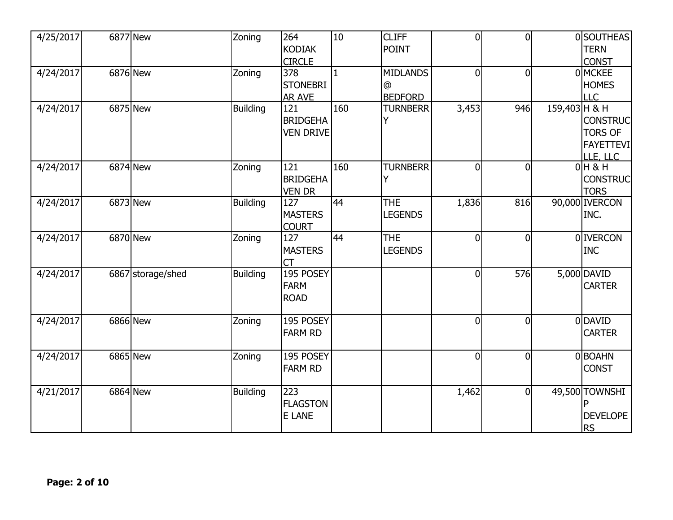| 4/25/2017 |          | <b>6877</b> New   | Zoning          | 264<br><b>KODIAK</b>                                     | 10           | <b>CLIFF</b><br><b>POINT</b>           | $\overline{0}$ | $\overline{0}$ |               | 0 SOUTHEAS<br><b>TERN</b><br><b>CONST</b>                                |
|-----------|----------|-------------------|-----------------|----------------------------------------------------------|--------------|----------------------------------------|----------------|----------------|---------------|--------------------------------------------------------------------------|
| 4/24/2017 |          | 6876 New          | Zoning          | <b>CIRCLE</b><br>378<br><b>STONEBRI</b><br><b>AR AVE</b> | $\mathbf{1}$ | <b>MIDLANDS</b><br>@<br><b>BEDFORD</b> | $\overline{0}$ | $\overline{0}$ |               | 0 MCKEE<br><b>HOMES</b><br>LLC                                           |
| 4/24/2017 |          | 6875 New          | <b>Building</b> | 121<br><b>BRIDGEHA</b><br><b>VEN DRIVE</b>               | 160          | <b>TURNBERR</b>                        | 3,453          | 946            | 159,403 H & H | <b>CONSTRUC</b><br><b>TORS OF</b><br><b>FAYETTEVI</b><br>LLE, <u>LLC</u> |
| 4/24/2017 |          | 6874 New          | Zoning          | 121<br><b>BRIDGEHA</b><br><b>VEN DR</b>                  | 160          | <b>TURNBERR</b>                        | $\overline{0}$ | $\overline{0}$ |               | $0H$ & H<br><b>CONSTRUC</b><br><b>TORS</b>                               |
| 4/24/2017 | 6873 New |                   | <b>Building</b> | 127<br><b>MASTERS</b><br><b>COURT</b>                    | 44           | <b>THE</b><br><b>LEGENDS</b>           | 1,836          | 816            |               | 90,000 IVERCON<br>INC.                                                   |
| 4/24/2017 |          | 6870 New          | Zoning          | 127<br><b>MASTERS</b><br>СT                              | 44           | <b>THE</b><br><b>LEGENDS</b>           | $\overline{0}$ | $\overline{0}$ |               | 0 <b>IVERCON</b><br><b>INC</b>                                           |
| 4/24/2017 |          | 6867 storage/shed | <b>Building</b> | 195 POSEY<br><b>FARM</b><br><b>ROAD</b>                  |              |                                        | $\overline{0}$ | 576            |               | 5,000 DAVID<br><b>CARTER</b>                                             |
| 4/24/2017 |          | 6866 New          | Zoning          | 195 POSEY<br><b>FARM RD</b>                              |              |                                        | $\overline{0}$ | $\overline{0}$ |               | 0DAVID<br><b>CARTER</b>                                                  |
| 4/24/2017 |          | 6865 New          | Zoning          | 195 POSEY<br><b>FARM RD</b>                              |              |                                        | $\overline{0}$ | $\overline{0}$ |               | 0BOAHN<br><b>CONST</b>                                                   |
| 4/21/2017 |          | 6864 New          | <b>Building</b> | 223<br><b>FLAGSTON</b><br>E LANE                         |              |                                        | 1,462          | $\overline{0}$ |               | 49,500 TOWNSHI<br><b>DEVELOPE</b><br><b>RS</b>                           |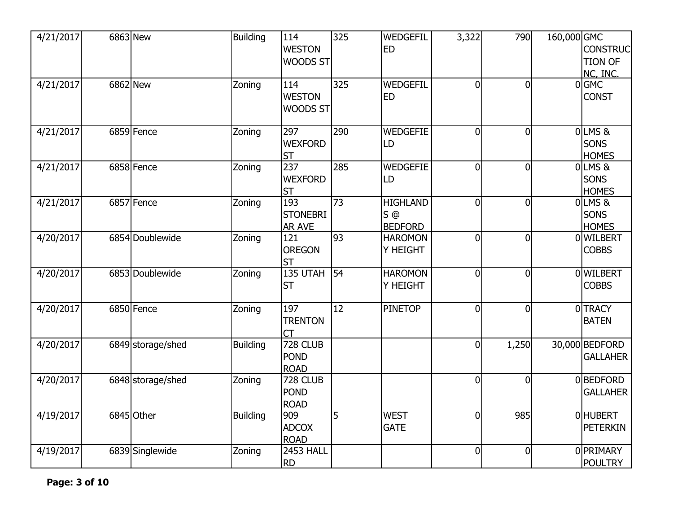| 4/21/2017 | 6863 New          | <b>Building</b> | 114              | 325 | WEDGEFIL        | 3,322          | 790            | 160,000 GMC |                 |
|-----------|-------------------|-----------------|------------------|-----|-----------------|----------------|----------------|-------------|-----------------|
|           |                   |                 | <b>WESTON</b>    |     | <b>ED</b>       |                |                |             | <b>CONSTRUC</b> |
|           |                   |                 | WOODS ST         |     |                 |                |                |             | <b>TION OF</b>  |
|           |                   |                 |                  |     |                 |                |                |             | NC, INC.        |
| 4/21/2017 | 6862 New          | Zoning          | 114              | 325 | WEDGEFIL        | $\overline{0}$ | $\Omega$       |             | 0GMC            |
|           |                   |                 | <b>WESTON</b>    |     | <b>ED</b>       |                |                |             | <b>CONST</b>    |
|           |                   |                 | WOODS ST         |     |                 |                |                |             |                 |
|           |                   |                 |                  |     |                 |                |                |             |                 |
| 4/21/2017 | 6859 Fence        | Zoning          | 297              | 290 | <b>WEDGEFIE</b> | 0              | $\Omega$       |             | OLMS&           |
|           |                   |                 | <b>WEXFORD</b>   |     | LD              |                |                |             | <b>SONS</b>     |
|           |                   |                 | <b>ST</b>        |     |                 |                |                |             | <b>HOMES</b>    |
| 4/21/2017 | 6858 Fence        | Zoning          | 237              | 285 | <b>WEDGEFIE</b> | $\overline{0}$ | $\Omega$       |             | $0$ LMS $\&$    |
|           |                   |                 | <b>WEXFORD</b>   |     | LD              |                |                |             | <b>SONS</b>     |
|           |                   |                 | <b>ST</b>        |     |                 |                |                |             | <b>HOMES</b>    |
| 4/21/2017 | 6857 Fence        | Zoning          | 193              | 73  | <b>HIGHLAND</b> | $\overline{0}$ | $\Omega$       |             | OLMS&           |
|           |                   |                 | <b>STONEBRI</b>  |     | $S$ $@$         |                |                |             | <b>SONS</b>     |
|           |                   |                 | <b>AR AVE</b>    |     | <b>BEDFORD</b>  |                |                |             | <b>HOMES</b>    |
| 4/20/2017 | 6854 Doublewide   | Zoning          | 121              | 93  | <b>HAROMON</b>  | $\overline{0}$ | $\overline{0}$ |             | 0 WILBERT       |
|           |                   |                 | <b>OREGON</b>    |     | Y HEIGHT        |                |                |             | <b>COBBS</b>    |
|           |                   |                 | <b>ST</b>        |     |                 |                |                |             |                 |
| 4/20/2017 | 6853 Doublewide   | Zoning          | 135 UTAH         | 54  | <b>HAROMON</b>  | $\overline{0}$ | $\Omega$       |             | 0 WILBERT       |
|           |                   |                 | <b>ST</b>        |     | Y HEIGHT        |                |                |             | <b>COBBS</b>    |
|           |                   |                 |                  |     |                 |                |                |             |                 |
| 4/20/2017 | 6850 Fence        | Zoning          | 197              | 12  | <b>PINETOP</b>  | $\overline{0}$ | $\overline{0}$ |             | 0TRACY          |
|           |                   |                 | <b>TRENTON</b>   |     |                 |                |                |             | <b>BATEN</b>    |
|           |                   |                 | <b>CT</b>        |     |                 |                |                |             |                 |
| 4/20/2017 | 6849 storage/shed | <b>Building</b> | 728 CLUB         |     |                 | $\overline{0}$ | 1,250          |             | 30,000 BEDFORD  |
|           |                   |                 | <b>POND</b>      |     |                 |                |                |             | <b>GALLAHER</b> |
|           |                   |                 | <b>ROAD</b>      |     |                 |                |                |             |                 |
| 4/20/2017 | 6848 storage/shed | Zoning          | 728 CLUB         |     |                 | $\overline{0}$ | $\Omega$       |             | 0BEDFORD        |
|           |                   |                 | <b>POND</b>      |     |                 |                |                |             | <b>GALLAHER</b> |
|           |                   |                 | <b>ROAD</b>      |     |                 |                |                |             |                 |
| 4/19/2017 | 6845 Other        | <b>Building</b> | 909              | 5   | <b>WEST</b>     | $\overline{0}$ | 985            |             | 0 HUBERT        |
|           |                   |                 | <b>ADCOX</b>     |     | <b>GATE</b>     |                |                |             | <b>PETERKIN</b> |
|           |                   |                 | <b>ROAD</b>      |     |                 |                |                |             |                 |
| 4/19/2017 | 6839 Singlewide   | Zoning          | <b>2453 HALL</b> |     |                 | $\overline{0}$ | $\overline{0}$ |             | 0 PRIMARY       |
|           |                   |                 | <b>RD</b>        |     |                 |                |                |             | <b>POULTRY</b>  |
|           |                   |                 |                  |     |                 |                |                |             |                 |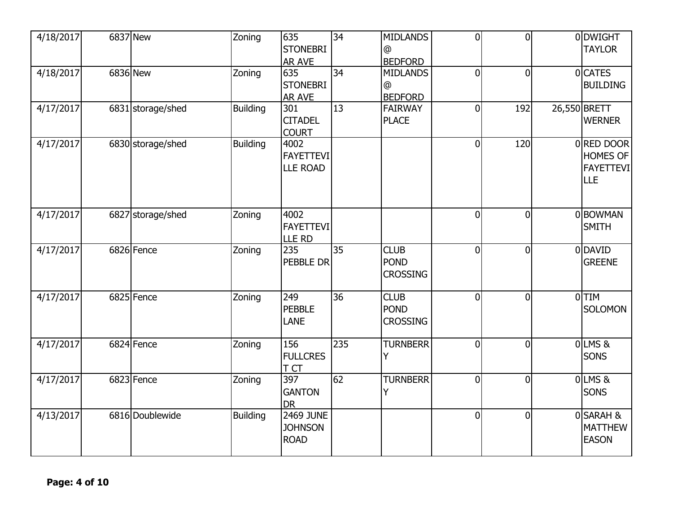| 4/18/2017 | 6837 New          | Zoning          | 635<br><b>STONEBRI</b><br><b>AR AVE</b>           | $\overline{34}$ | <b>MIDLANDS</b><br>@<br><b>BEDFORD</b>          | $\overline{0}$ | $\Omega$       | 0 DWIGHT<br><b>TAYLOR</b>                                |
|-----------|-------------------|-----------------|---------------------------------------------------|-----------------|-------------------------------------------------|----------------|----------------|----------------------------------------------------------|
| 4/18/2017 | 6836 New          | Zoning          | 635<br><b>STONEBRI</b><br><b>AR AVE</b>           | 34              | <b>MIDLANDS</b><br>$^{\circ}$<br><b>BEDFORD</b> | $\overline{0}$ | $\Omega$       | 0 CATES<br><b>BUILDING</b>                               |
| 4/17/2017 | 6831 storage/shed | <b>Building</b> | 301<br><b>CITADEL</b><br><b>COURT</b>             | 13              | <b>FAIRWAY</b><br><b>PLACE</b>                  | 0              | 192            | 26,550 BRETT<br><b>WERNER</b>                            |
| 4/17/2017 | 6830 storage/shed | <b>Building</b> | 4002<br><b>FAYETTEVI</b><br><b>LLE ROAD</b>       |                 |                                                 | $\overline{0}$ | 120            | 0 RED DOOR<br><b>HOMES OF</b><br><b>FAYETTEVI</b><br>LLE |
| 4/17/2017 | 6827 storage/shed | Zoning          | 4002<br><b>FAYETTEVI</b><br>LLE RD                |                 |                                                 | $\mathbf 0$    | $\overline{0}$ | 0BOWMAN<br><b>SMITH</b>                                  |
| 4/17/2017 | 6826 Fence        | Zoning          | 235<br><b>PEBBLE DR</b>                           | 35              | <b>CLUB</b><br><b>POND</b><br><b>CROSSING</b>   | $\overline{0}$ | $\Omega$       | 0 DAVID<br><b>GREENE</b>                                 |
| 4/17/2017 | 6825 Fence        | Zoning          | 249<br><b>PEBBLE</b><br>LANE                      | $\overline{36}$ | <b>CLUB</b><br><b>POND</b><br><b>CROSSING</b>   | $\overline{0}$ | $\Omega$       | $0$ TIM<br><b>SOLOMON</b>                                |
| 4/17/2017 | 6824 Fence        | Zoning          | 156<br><b>FULLCRES</b><br>T CT                    | 235             | <b>TURNBERR</b>                                 | $\overline{0}$ | $\Omega$       | <b>0LMS&amp;</b><br>SONS                                 |
| 4/17/2017 | 6823 Fence        | Zoning          | 397<br><b>GANTON</b><br><b>DR</b>                 | 62              | <b>TURNBERR</b><br>Y                            | $\overline{0}$ | $\Omega$       | 0 LMS &<br>SONS                                          |
| 4/13/2017 | 6816 Doublewide   | <b>Building</b> | <b>2469 JUNE</b><br><b>JOHNSON</b><br><b>ROAD</b> |                 |                                                 | $\overline{0}$ | $\overline{0}$ | 0 SARAH &<br><b>MATTHEW</b><br><b>EASON</b>              |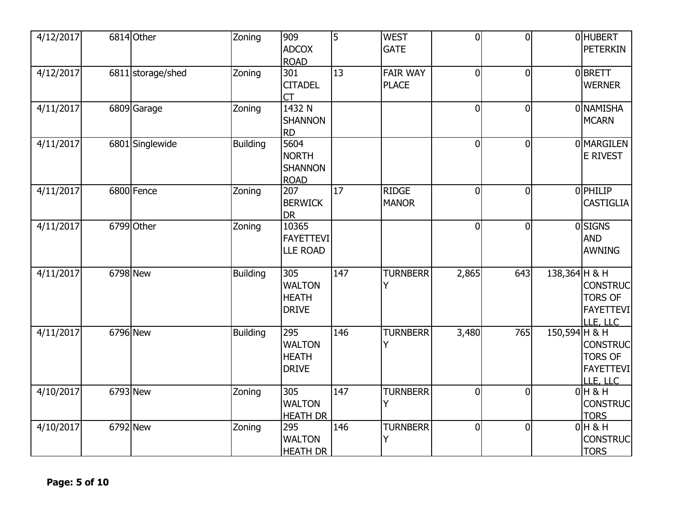| 4/12/2017 | 6814 Other               | Zoning          | 909<br><b>ADCOX</b><br><b>ROAD</b>                    | $\overline{5}$ | <b>WEST</b><br><b>GATE</b>      | $\overline{0}$ | $\Omega$       |               | <b>OHUBERT</b><br><b>PETERKIN</b>                                 |
|-----------|--------------------------|-----------------|-------------------------------------------------------|----------------|---------------------------------|----------------|----------------|---------------|-------------------------------------------------------------------|
| 4/12/2017 | 6811 storage/shed        | Zoning          | 301<br><b>CITADEL</b><br><b>CT</b>                    | 13             | <b>FAIR WAY</b><br><b>PLACE</b> | $\overline{0}$ | $\overline{0}$ |               | 0BRETT<br><b>WERNER</b>                                           |
| 4/11/2017 | $\overline{6809}$ Garage | Zoning          | 1432 N<br><b>SHANNON</b><br><b>RD</b>                 |                |                                 | $\overline{0}$ | $\overline{0}$ |               | ONAMISHA<br><b>MCARN</b>                                          |
| 4/11/2017 | 6801 Singlewide          | <b>Building</b> | 5604<br><b>NORTH</b><br><b>SHANNON</b><br><b>ROAD</b> |                |                                 | $\overline{0}$ | $\overline{0}$ |               | 0 MARGILEN<br>E RIVEST                                            |
| 4/11/2017 | 6800 Fence               | Zoning          | 207<br><b>BERWICK</b><br><b>DR</b>                    | 17             | <b>RIDGE</b><br><b>MANOR</b>    | $\overline{0}$ | $\overline{0}$ |               | 0 PHILIP<br><b>CASTIGLIA</b>                                      |
| 4/11/2017 | 6799 Other               | Zoning          | 10365<br><b>FAYETTEVI</b><br><b>LLE ROAD</b>          |                |                                 | $\overline{0}$ | $\overline{0}$ |               | $0$ SIGNS<br><b>AND</b><br><b>AWNING</b>                          |
| 4/11/2017 | 6798 New                 | <b>Building</b> | 305<br><b>WALTON</b><br><b>HEATH</b><br><b>DRIVE</b>  | 147            | <b>TURNBERR</b><br>Y            | 2,865          | 643            | 138,364 H & H | <b>CONSTRUC</b><br><b>TORS OF</b><br><b>FAYETTEVI</b><br>LLE, LLC |
| 4/11/2017 | 6796 New                 | <b>Building</b> | 295<br><b>WALTON</b><br><b>HEATH</b><br><b>DRIVE</b>  | 146            | <b>TURNBERR</b>                 | 3,480          | 765            | 150,594 H & H | <b>CONSTRUC</b><br><b>TORS OF</b><br><b>FAYETTEVI</b><br>LLE, LLC |
| 4/10/2017 | 6793 New                 | Zoning          | 305<br><b>WALTON</b><br><b>HEATH DR</b>               | 147            | <b>TURNBERR</b>                 | $\mathbf 0$    | $\Omega$       |               | $0H$ & H<br><b>CONSTRUC</b><br><b>TORS</b>                        |
| 4/10/2017 | 6792 New                 | Zoning          | 295<br><b>WALTON</b><br><b>HEATH DR</b>               | 146            | <b>TURNBERR</b><br>Y            | $\overline{0}$ | $\overline{0}$ |               | $0H$ & H<br><b>CONSTRUC</b><br><b>TORS</b>                        |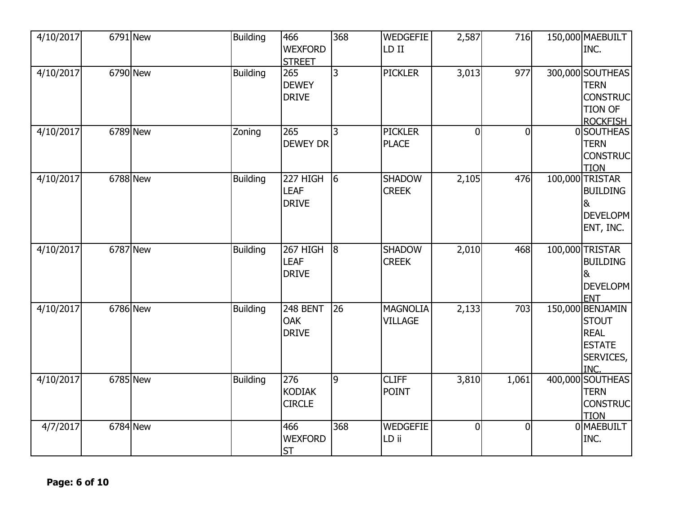| 4/10/2017 | 6791 New | <b>Building</b> | 466<br><b>WEXFORD</b><br><b>STREET</b>  | 368            | <b>WEDGEFIE</b><br>LD II          | 2,587          | 716            | 150,000 MAEBUILT<br>INC.                                                                |
|-----------|----------|-----------------|-----------------------------------------|----------------|-----------------------------------|----------------|----------------|-----------------------------------------------------------------------------------------|
| 4/10/2017 | 6790 New | <b>Building</b> | 265<br><b>DEWEY</b><br><b>DRIVE</b>     | $\overline{3}$ | <b>PICKLER</b>                    | 3,013          | 977            | 300,000 SOUTHEAS<br><b>TERN</b><br><b>CONSTRUC</b><br><b>TION OF</b><br><b>ROCKFISH</b> |
| 4/10/2017 | 6789 New | Zoning          | 265<br><b>DEWEY DR</b>                  | 3              | <b>PICKLER</b><br><b>PLACE</b>    | $\overline{0}$ | $\Omega$       | 0 SOUTHEAS<br><b>TERN</b><br><b>CONSTRUC</b><br><b>TION</b>                             |
| 4/10/2017 | 6788 New | <b>Building</b> | 227 HIGH<br><b>LEAF</b><br><b>DRIVE</b> | $\sqrt{6}$     | <b>SHADOW</b><br><b>CREEK</b>     | 2,105          | 476            | 100,000 TRISTAR<br><b>BUILDING</b><br>&<br><b>DEVELOPM</b><br>ENT, INC.                 |
| 4/10/2017 | 6787 New | <b>Building</b> | 267 HIGH<br><b>LEAF</b><br><b>DRIVE</b> | 8              | <b>SHADOW</b><br><b>CREEK</b>     | 2,010          | 468            | 100,000 TRISTAR<br><b>BUILDING</b><br>8 <sub>k</sub><br><b>DEVELOPM</b><br><b>ENT</b>   |
| 4/10/2017 | 6786 New | <b>Building</b> | 248 BENT<br><b>OAK</b><br><b>DRIVE</b>  | 26             | <b>MAGNOLIA</b><br><b>VILLAGE</b> | 2,133          | 703            | 150,000 BENJAMIN<br><b>STOUT</b><br><b>REAL</b><br><b>ESTATE</b><br>SERVICES,<br>INC.   |
| 4/10/2017 | 6785 New | <b>Building</b> | 276<br><b>KODIAK</b><br><b>CIRCLE</b>   | $\overline{9}$ | <b>CLIFF</b><br><b>POINT</b>      | 3,810          | 1,061          | 400,000 SOUTHEAS<br><b>TERN</b><br><b>CONSTRUC</b><br><b>TION</b>                       |
| 4/7/2017  | 6784 New |                 | 466<br><b>WEXFORD</b><br><b>ST</b>      | 368            | <b>WEDGEFIE</b><br>LD ii          | $\overline{0}$ | $\overline{0}$ | 0 MAEBUILT<br>INC.                                                                      |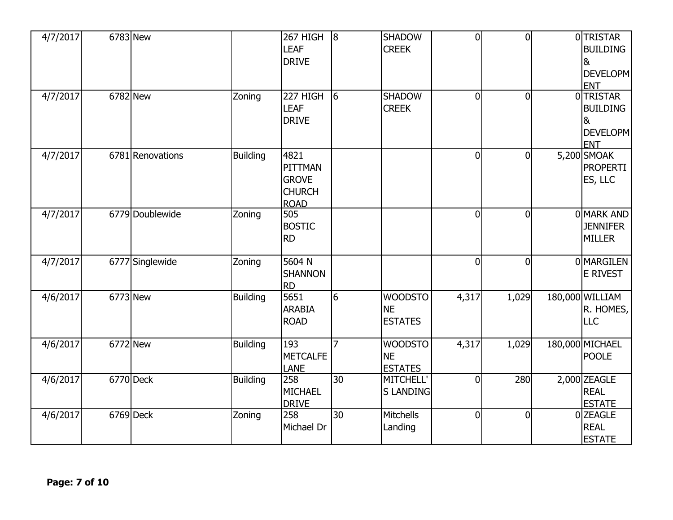| 4/7/2017 | 6783 New         |                 | 267 HIGH<br><b>LEAF</b><br><b>DRIVE</b>                         | $\overline{8}$ | <b>SHADOW</b><br><b>CREEK</b>                 | $\mathbf 0$    | $\overline{0}$ | 0TRISTAR<br><b>BUILDING</b><br>8<br>DEVELOPM<br><b>ENT</b>        |
|----------|------------------|-----------------|-----------------------------------------------------------------|----------------|-----------------------------------------------|----------------|----------------|-------------------------------------------------------------------|
| 4/7/2017 | 6782 New         | Zoning          | 227 HIGH<br><b>LEAF</b><br><b>DRIVE</b>                         | $\sqrt{6}$     | <b>SHADOW</b><br><b>CREEK</b>                 | $\overline{0}$ | $\overline{0}$ | 0TRISTAR<br><b>BUILDING</b><br>8<br><b>DEVELOPM</b><br><b>ENT</b> |
| 4/7/2017 | 6781 Renovations | <b>Building</b> | 4821<br>PITTMAN<br><b>GROVE</b><br><b>CHURCH</b><br><b>ROAD</b> |                |                                               | $\overline{0}$ | $\overline{0}$ | 5,200 SMOAK<br><b>PROPERTI</b><br>ES, LLC                         |
| 4/7/2017 | 6779 Doublewide  | Zoning          | 505<br><b>BOSTIC</b><br><b>RD</b>                               |                |                                               | $\overline{0}$ | $\Omega$       | 0 MARK AND<br><b>JENNIFER</b><br><b>MILLER</b>                    |
| 4/7/2017 | 6777 Singlewide  | Zoning          | 5604 N<br><b>SHANNON</b><br><b>RD</b>                           |                |                                               | $\overline{0}$ | $\overline{0}$ | 0 MARGILEN<br>E RIVEST                                            |
| 4/6/2017 | 6773 New         | <b>Building</b> | 5651<br><b>ARABIA</b><br><b>ROAD</b>                            | l6             | <b>WOODSTO</b><br><b>NE</b><br><b>ESTATES</b> | 4,317          | 1,029          | 180,000 WILLIAM<br>R. HOMES,<br><b>LLC</b>                        |
| 4/6/2017 | 6772 New         | <b>Building</b> | 193<br><b>METCALFE</b><br>LANE                                  | $\overline{7}$ | <b>WOODSTO</b><br><b>NE</b><br><b>ESTATES</b> | 4,317          | 1,029          | 180,000 MICHAEL<br><b>POOLE</b>                                   |
| 4/6/2017 | 6770 Deck        | <b>Building</b> | 258<br><b>MICHAEL</b><br><b>DRIVE</b>                           | 30             | MITCHELL'<br><b>S LANDING</b>                 | $\overline{0}$ | 280            | 2,000 ZEAGLE<br><b>REAL</b><br><b>ESTATE</b>                      |
| 4/6/2017 | $6769$ Deck      | Zoning          | 258<br>Michael Dr                                               | 30             | Mitchells<br>Landing                          | $\mathbf 0$    | $\mathbf{0}$   | 0 ZEAGLE<br><b>REAL</b><br><b>ESTATE</b>                          |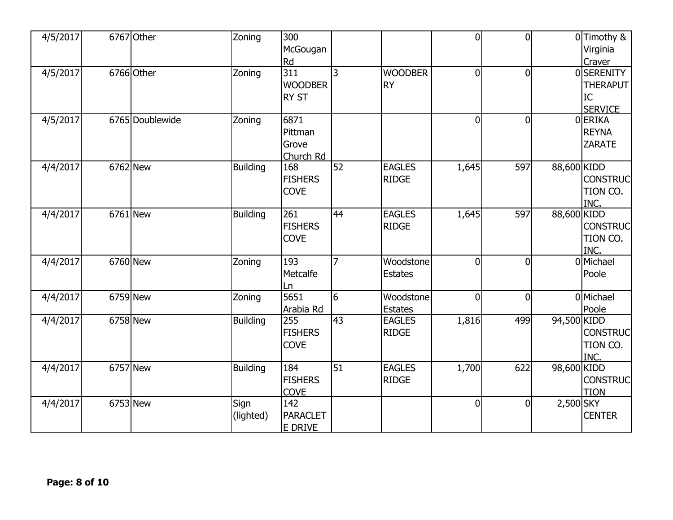| 4/5/2017 | 6767 Other      | Zoning            | 300<br>McGougan<br>Rd                    |                 |                               | $\overline{0}$ | $\Omega$       |             | 0 Timothy &<br>Virginia<br>Craver                    |
|----------|-----------------|-------------------|------------------------------------------|-----------------|-------------------------------|----------------|----------------|-------------|------------------------------------------------------|
| 4/5/2017 | 6766 Other      | Zoning            | 311<br><b>WOODBER</b><br><b>RY ST</b>    | 3               | <b>WOODBER</b><br><b>RY</b>   | $\overline{0}$ | $\overline{0}$ |             | 0SERENITY<br><b>THERAPUT</b><br>IC<br><b>SERVICE</b> |
| 4/5/2017 | 6765 Doublewide | Zoning            | 6871<br>Pittman<br>Grove<br>Church Rd    |                 |                               | $\overline{0}$ | $\overline{0}$ |             | 0ERIKA<br><b>REYNA</b><br><b>ZARATE</b>              |
| 4/4/2017 | 6762 New        | <b>Building</b>   | 168<br><b>FISHERS</b><br><b>COVE</b>     | 52              | <b>EAGLES</b><br><b>RIDGE</b> | 1,645          | 597            | 88,600 KIDD | <b>CONSTRUC</b><br>TION CO.<br>INC.                  |
| 4/4/2017 | 6761 New        | <b>Building</b>   | 261<br><b>FISHERS</b><br><b>COVE</b>     | 44              | <b>EAGLES</b><br><b>RIDGE</b> | 1,645          | 597            | 88,600 KIDD | <b>CONSTRUC</b><br>TION CO.<br>INC.                  |
| 4/4/2017 | 6760 New        | Zoning            | 193<br>Metcalfe<br>Ln                    |                 | Woodstone<br><b>Estates</b>   | $\overline{0}$ | $\Omega$       |             | 0 Michael<br>Poole                                   |
| 4/4/2017 | 6759 New        | Zoning            | 5651<br>Arabia Rd                        | l6              | Woodstone<br><b>Estates</b>   | 0              | $\Omega$       |             | 0 Michael<br>Poole                                   |
| 4/4/2017 | 6758 New        | <b>Building</b>   | 255<br><b>FISHERS</b><br><b>COVE</b>     | 43              | <b>EAGLES</b><br><b>RIDGE</b> | 1,816          | 499            | 94,500 KIDD | <b>CONSTRUC</b><br>TION CO.<br>INC.                  |
| 4/4/2017 | 6757 New        | <b>Building</b>   | 184<br><b>FISHERS</b><br><b>COVE</b>     | $\overline{51}$ | <b>EAGLES</b><br><b>RIDGE</b> | 1,700          | 622            | 98,600 KIDD | <b>CONSTRUC</b><br><b>TION</b>                       |
| 4/4/2017 | 6753 New        | Sign<br>(lighted) | 142<br><b>PARACLET</b><br><b>E DRIVE</b> |                 |                               | 0              | $\overline{0}$ | 2,500 SKY   | <b>CENTER</b>                                        |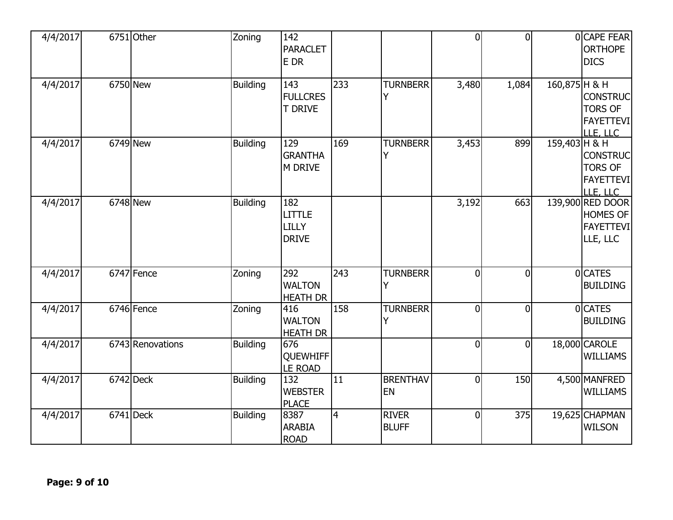| 4/4/2017 | 6751 Other       | Zoning          | 142<br>PARACLET<br>E DR                       |                |                              | $\overline{0}$ | $\overline{0}$ |               | 0 CAPE FEAR<br><b>ORTHOPE</b><br><b>DICS</b>                        |
|----------|------------------|-----------------|-----------------------------------------------|----------------|------------------------------|----------------|----------------|---------------|---------------------------------------------------------------------|
| 4/4/2017 | 6750 New         | <b>Building</b> | 143<br><b>FULLCRES</b><br><b>T DRIVE</b>      | 233            | <b>TURNBERR</b><br>Υ         | 3,480          | 1,084          | 160,875 H & H | <b>CONSTRUC</b><br><b>TORS OF</b><br><b>FAYETTEVI</b><br>LLE, LLC   |
| 4/4/2017 | 6749 New         | <b>Building</b> | 129<br><b>GRANTHA</b><br>M DRIVE              | 169            | <b>TURNBERR</b><br>Y         | 3,453          | 899            | 159,403 H & H | <b>CONSTRUC</b><br><b>TORS OF</b><br><b>FAYETTEVI</b><br>LLE, LLC   |
| 4/4/2017 | 6748 New         | <b>Building</b> | 182<br><b>LITTLE</b><br>LILLY<br><b>DRIVE</b> |                |                              | 3,192          | 663            |               | 139,900 RED DOOR<br><b>HOMES OF</b><br><b>FAYETTEVI</b><br>LLE, LLC |
| 4/4/2017 | 6747 Fence       | Zoning          | 292<br><b>WALTON</b><br><b>HEATH DR</b>       | 243            | <b>TURNBERR</b><br>Υ         | $\overline{0}$ | $\overline{0}$ |               | 0 CATES<br><b>BUILDING</b>                                          |
| 4/4/2017 | 6746 Fence       | Zoning          | 416<br><b>WALTON</b><br><b>HEATH DR</b>       | 158            | <b>TURNBERR</b><br>Y         | $\overline{0}$ | $\overline{0}$ |               | 0 CATES<br><b>BUILDING</b>                                          |
| 4/4/2017 | 6743 Renovations | <b>Building</b> | 676<br><b>QUEWHIFF</b><br><b>LE ROAD</b>      |                |                              | 0              | $\overline{0}$ |               | 18,000 CAROLE<br><b>WILLIAMS</b>                                    |
| 4/4/2017 | 6742 Deck        | <b>Building</b> | 132<br><b>WEBSTER</b><br><b>PLACE</b>         | 11             | <b>BRENTHAV</b><br><b>EN</b> | $\mathbf 0$    | 150            |               | 4,500 MANFRED<br><b>WILLIAMS</b>                                    |
| 4/4/2017 | $6741$ Deck      | <b>Building</b> | 8387<br><b>ARABIA</b><br><b>ROAD</b>          | $\overline{4}$ | <b>RIVER</b><br><b>BLUFF</b> | $\overline{0}$ | 375            |               | 19,625 CHAPMAN<br><b>WILSON</b>                                     |